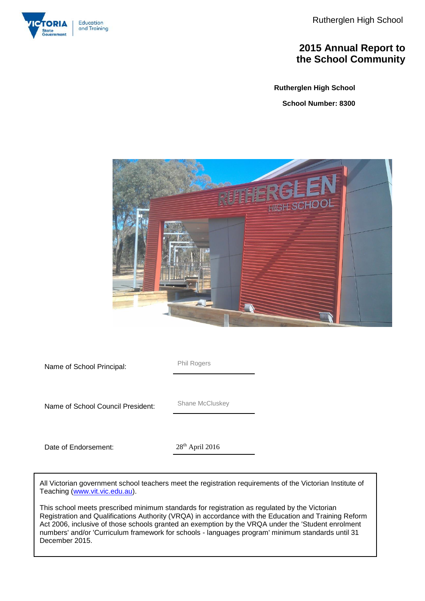Rutherglen High School



### **2015 Annual Report to the School Community**

**Rutherglen High School**

**School Number: 8300**



**Name of School Principal:** Phil Rogers Name of School Council President: Shane McCluskey Date of Endorsement: 28<sup>th</sup> April 2016

All Victorian government school teachers meet the registration requirements of the Victorian Institute of Teaching [\(www.vit.vic.edu.au\)](http://www.vit.vic.edu.au/).

This school meets prescribed minimum standards for registration as regulated by the Victorian Registration and Qualifications Authority (VRQA) in accordance with the Education and Training Reform Act 2006, inclusive of those schools granted an exemption by the VRQA under the 'Student enrolment numbers' and/or 'Curriculum framework for schools - languages program' minimum standards until 31 December 2015.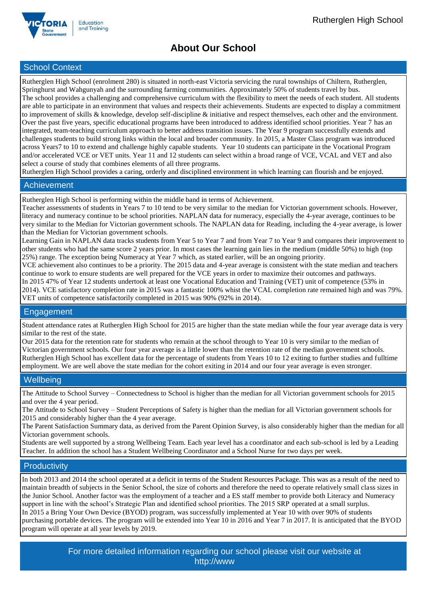

## **About Our School**

### School Context

Rutherglen High School (enrolment 280) is situated in north-east Victoria servicing the rural townships of Chiltern, Rutherglen, Springhurst and Wahgunyah and the surrounding farming communities. Approximately 50% of students travel by bus.

The school provides a challenging and comprehensive curriculum with the flexibility to meet the needs of each student. All students are able to participate in an environment that values and respects their achievements. Students are expected to display a commitment to improvement of skills & knowledge, develop self-discipline & initiative and respect themselves, each other and the environment. Over the past five years, specific educational programs have been introduced to address identified school priorities. Year 7 has an integrated, team-teaching curriculum approach to better address transition issues. The Year 9 program successfully extends and challenges students to build strong links within the local and broader community. In 2015, a Master Class program was introduced across Years7 to 10 to extend and challenge highly capable students. Year 10 students can participate in the Vocational Program and/or accelerated VCE or VET units. Year 11 and 12 students can select within a broad range of VCE, VCAL and VET and also select a course of study that combines elements of all three programs.

Rutherglen High School provides a caring, orderly and disciplined environment in which learning can flourish and be enjoyed.

#### Achievement

Rutherglen High School is performing within the middle band in terms of Achievement.

Teacher assessments of students in Years 7 to 10 tend to be very similar to the median for Victorian government schools. However, literacy and numeracy continue to be school priorities. NAPLAN data for numeracy, especially the 4-year average, continues to be very similar to the Median for Victorian government schools. The NAPLAN data for Reading, including the 4-year average, is lower than the Median for Victorian government schools.

Learning Gain in NAPLAN data tracks students from Year 5 to Year 7 and from Year 7 to Year 9 and compares their improvement to other students who had the same score 2 years prior. In most cases the learning gain lies in the medium (middle 50%) to high (top 25%) range. The exception being Numeracy at Year 7 which, as stated earlier, will be an ongoing priority.

VCE achievement also continues to be a priority. The 2015 data and 4-year average is consistent with the state median and teachers continue to work to ensure students are well prepared for the VCE years in order to maximize their outcomes and pathways. In 2015 47% of Year 12 students undertook at least one Vocational Education and Training (VET) unit of competence (53% in 2014). VCE satisfactory completion rate in 2015 was a fantastic 100% whist the VCAL completion rate remained high and was 79%. VET units of competence satisfactorily completed in 2015 was 90% (92% in 2014).

#### Engagement

Student attendance rates at Rutherglen High School for 2015 are higher than the state median while the four year average data is very similar to the rest of the state.

Our 2015 data for the retention rate for students who remain at the school through to Year 10 is very similar to the median of Victorian government schools. Our four year average is a little lower than the retention rate of the median government schools. Rutherglen High School has excellent data for the percentage of students from Years 10 to 12 exiting to further studies and fulltime employment. We are well above the state median for the cohort exiting in 2014 and our four year average is even stronger.

#### **Wellbeing**

The Attitude to School Survey – Connectedness to School is higher than the median for all Victorian government schools for 2015 and over the 4 year period.

The Attitude to School Survey – Student Perceptions of Safety is higher than the median for all Victorian government schools for 2015 and considerably higher than the 4 year average.

The Parent Satisfaction Summary data, as derived from the Parent Opinion Survey, is also considerably higher than the median for all Victorian government schools.

Students are well supported by a strong Wellbeing Team. Each year level has a coordinator and each sub-school is led by a Leading Teacher. In addition the school has a Student Wellbeing Coordinator and a School Nurse for two days per week.

### **Productivity**

In both 2013 and 2014 the school operated at a deficit in terms of the Student Resources Package. This was as a result of the need to maintain breadth of subjects in the Senior School, the size of cohorts and therefore the need to operate relatively small class sizes in the Junior School. Another factor was the employment of a teacher and a ES staff member to provide both Literacy and Numeracy support in line with the school's Strategic Plan and identified school priorities. The 2015 SRP operated at a small surplus. In 2015 a Bring Your Own Device (BYOD) program, was successfully implemented at Year 10 with over 90% of students purchasing portable devices. The program will be extended into Year 10 in 2016 and Year 7 in 2017. It is anticipated that the BYOD program will operate at all year levels by 2019.

> For more detailed information regarding our school please visit our website at http://www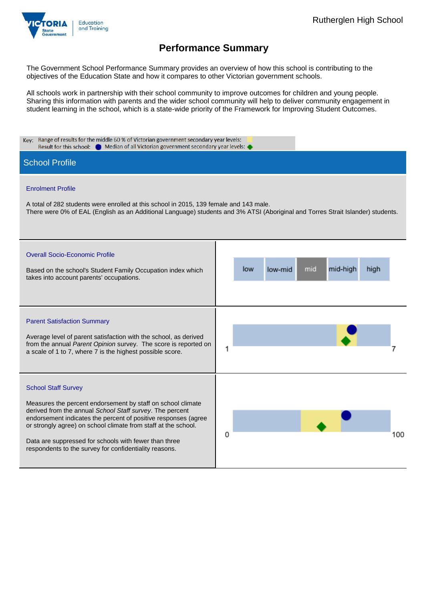

The Government School Performance Summary provides an overview of how this school is contributing to the objectives of the Education State and how it compares to other Victorian government schools.

All schools work in partnership with their school community to improve outcomes for children and young people. Sharing this information with parents and the wider school community will help to deliver community engagement in student learning in the school, which is a state-wide priority of the Framework for Improving Student Outcomes.

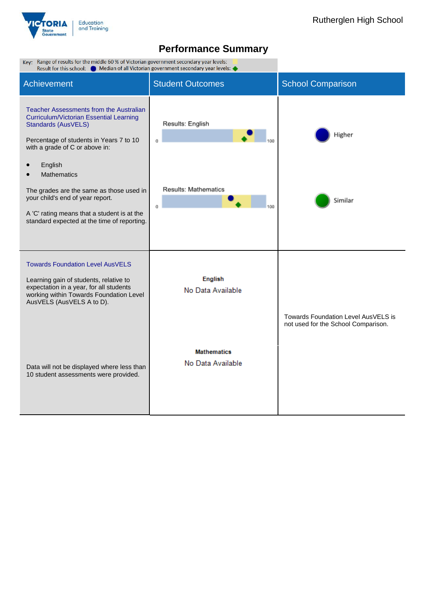

 $\mathbb{R}^2$ 

| Key: Range of results for the middle 60 % of Victorian government secondary year levels:<br>Median of all Victorian government secondary year levels:<br>Result for this school:                                                                                                                                                                                                                             |                                                    |                                                                            |  |  |  |  |
|--------------------------------------------------------------------------------------------------------------------------------------------------------------------------------------------------------------------------------------------------------------------------------------------------------------------------------------------------------------------------------------------------------------|----------------------------------------------------|----------------------------------------------------------------------------|--|--|--|--|
| <b>Achievement</b>                                                                                                                                                                                                                                                                                                                                                                                           | <b>Student Outcomes</b>                            | <b>School Comparison</b>                                                   |  |  |  |  |
| Teacher Assessments from the Australian<br>Curriculum/Victorian Essential Learning<br><b>Standards (AusVELS)</b><br>Percentage of students in Years 7 to 10<br>with a grade of C or above in:<br>English<br><b>Mathematics</b><br>The grades are the same as those used in<br>your child's end of year report.<br>A 'C' rating means that a student is at the<br>standard expected at the time of reporting. | Results: English<br>0<br>Results: Mathematics<br>0 | Higher<br>Similar                                                          |  |  |  |  |
| <b>Towards Foundation Level AusVELS</b><br>Learning gain of students, relative to<br>expectation in a year, for all students<br>working within Towards Foundation Level<br>AusVELS (AusVELS A to D).                                                                                                                                                                                                         | <b>English</b><br>No Data Available                | Towards Foundation Level AusVELS is<br>not used for the School Comparison. |  |  |  |  |
| Data will not be displayed where less than<br>10 student assessments were provided.                                                                                                                                                                                                                                                                                                                          | <b>Mathematics</b><br>No Data Available            |                                                                            |  |  |  |  |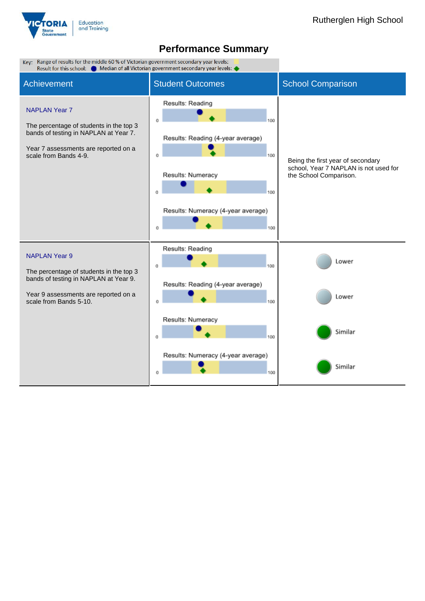

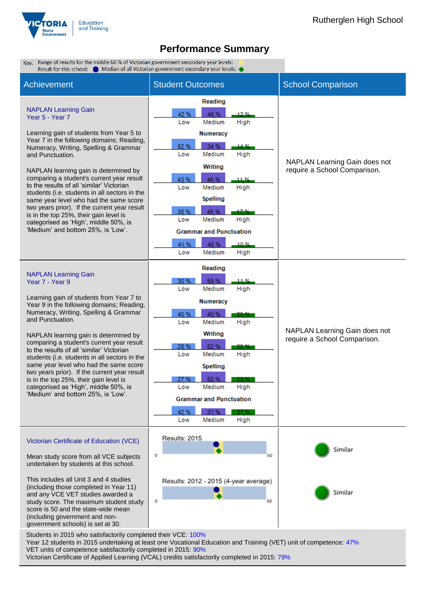





Year 12 students in 2015 undertaking at least one Vocational Education and Training (VET) unit of competence: 47% VET units of competence satisfactorily completed in 2015: 90% Victorian Certificate of Applied Learning (VCAL) credits satisfactorily completed in 2015: 79%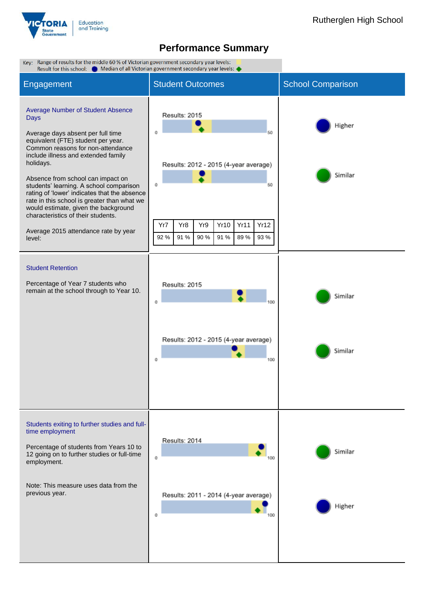

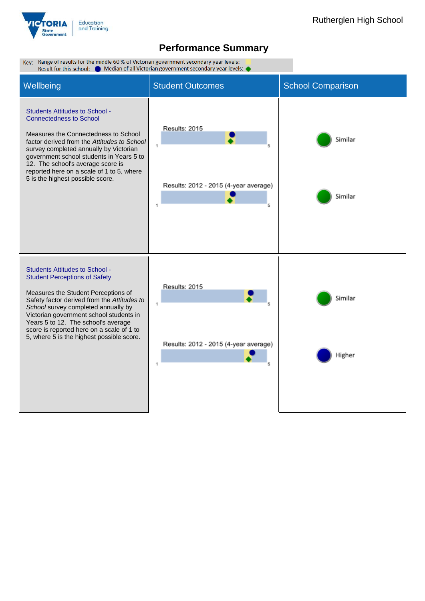

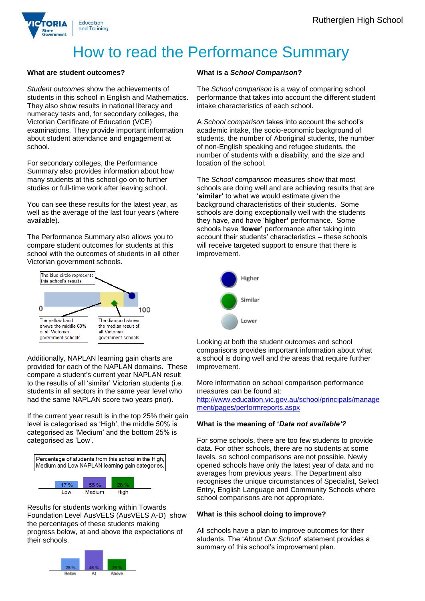

# How to read the Performance Summary

#### **What are student outcomes?**

*Student outcomes* show the achievements of students in this school in English and Mathematics. They also show results in national literacy and numeracy tests and, for secondary colleges, the Victorian Certificate of Education (VCE) examinations. They provide important information about student attendance and engagement at school.

For secondary colleges, the Performance Summary also provides information about how many students at this school go on to further studies or full-time work after leaving school.

You can see these results for the latest year, as well as the average of the last four years (where available).

The Performance Summary also allows you to compare student outcomes for students at this school with the outcomes of students in all other Victorian government schools.



Additionally, NAPLAN learning gain charts are provided for each of the NAPLAN domains. These compare a student's current year NAPLAN result to the results of all 'similar' Victorian students (i.e. students in all sectors in the same year level who had the same NAPLAN score two years prior).

If the current year result is in the top 25% their gain level is categorised as 'High', the middle 50% is categorised as 'Medium' and the bottom 25% is categorised as 'Low'.



Results for students working within Towards Foundation Level AusVELS (AusVELS A-D) show the percentages of these students making progress below, at and above the expectations of their schools.



#### **What is a** *School Comparison***?**

The *School comparison* is a way of comparing school performance that takes into account the different student intake characteristics of each school.

A *School comparison* takes into account the school's academic intake, the socio-economic background of students, the number of Aboriginal students, the number of non-English speaking and refugee students, the number of students with a disability, and the size and location of the school.

The *School comparison* measures show that most schools are doing well and are achieving results that are '**similar'** to what we would estimate given the background characteristics of their students. Some schools are doing exceptionally well with the students they have, and have '**higher'** performance. Some schools have '**lower'** performance after taking into account their students' characteristics – these schools will receive targeted support to ensure that there is improvement.



Looking at both the student outcomes and school comparisons provides important information about what a school is doing well and the areas that require further improvement.

More information on school comparison performance measures can be found at:

[http://www.education.vic.gov.au/school/principals/manage](http://www.education.vic.gov.au/school/principals/management/pages/performreports.aspx) [ment/pages/performreports.aspx](http://www.education.vic.gov.au/school/principals/management/pages/performreports.aspx)

#### **What is the meaning of '***Data not available'?*

For some schools, there are too few students to provide data. For other schools, there are no students at some levels, so school comparisons are not possible. Newly opened schools have only the latest year of data and no averages from previous years. The Department also recognises the unique circumstances of Specialist, Select Entry, English Language and Community Schools where school comparisons are not appropriate.

#### **What is this school doing to improve?**

All schools have a plan to improve outcomes for their students. The '*About Our School*' statement provides a summary of this school's improvement plan.